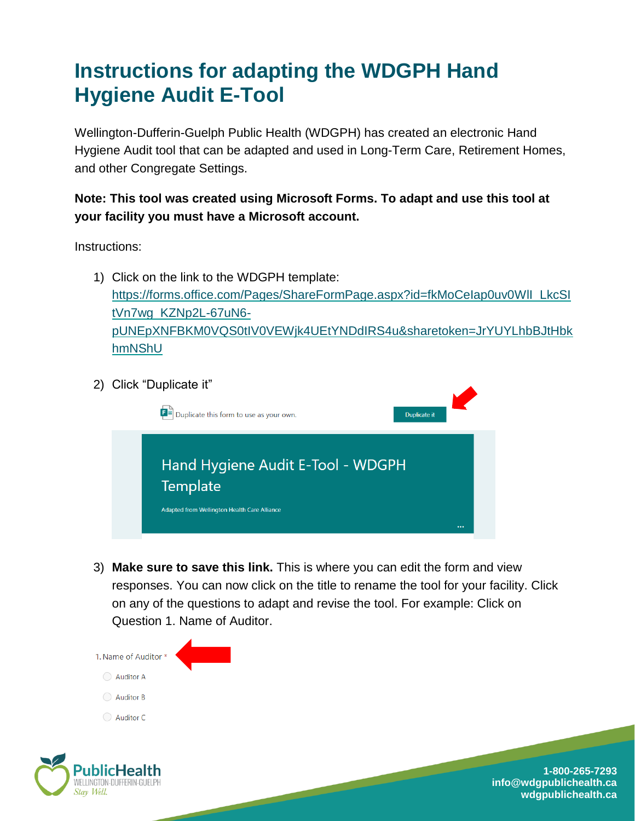## **Instructions for adapting the WDGPH Hand Hygiene Audit E-Tool**

Wellington-Dufferin-Guelph Public Health (WDGPH) has created an electronic Hand Hygiene Audit tool that can be adapted and used in Long-Term Care, Retirement Homes, and other Congregate Settings.

## **Note: This tool was created using Microsoft Forms. To adapt and use this tool at your facility you must have a Microsoft account.**

Instructions:

- 1) Click on the link to the WDGPH template: [https://forms.office.com/Pages/ShareFormPage.aspx?id=fkMoCeIap0uv0WlI\\_LkcSI](https://forms.office.com/Pages/ShareFormPage.aspx?id=fkMoCeIap0uv0WlI_LkcSItVn7wg_KZNp2L-67uN6-pUNEpXNFBKM0VQS0tIV0VEWjk4UEtYNDdIRS4u&sharetoken=JrYUYLhbBJtHbkhmNShU) [tVn7wg\\_KZNp2L-67uN6](https://forms.office.com/Pages/ShareFormPage.aspx?id=fkMoCeIap0uv0WlI_LkcSItVn7wg_KZNp2L-67uN6-pUNEpXNFBKM0VQS0tIV0VEWjk4UEtYNDdIRS4u&sharetoken=JrYUYLhbBJtHbkhmNShU) [pUNEpXNFBKM0VQS0tIV0VEWjk4UEtYNDdIRS4u&sharetoken=JrYUYLhbBJtHbk](https://forms.office.com/Pages/ShareFormPage.aspx?id=fkMoCeIap0uv0WlI_LkcSItVn7wg_KZNp2L-67uN6-pUNEpXNFBKM0VQS0tIV0VEWjk4UEtYNDdIRS4u&sharetoken=JrYUYLhbBJtHbkhmNShU) [hmNShU](https://forms.office.com/Pages/ShareFormPage.aspx?id=fkMoCeIap0uv0WlI_LkcSItVn7wg_KZNp2L-67uN6-pUNEpXNFBKM0VQS0tIV0VEWjk4UEtYNDdIRS4u&sharetoken=JrYUYLhbBJtHbkhmNShU)
- 2) Click "Duplicate it"



3) **Make sure to save this link.** This is where you can edit the form and view responses. You can now click on the title to rename the tool for your facility. Click on any of the questions to adapt and revise the tool. For example: Click on Question 1. Name of Auditor.

and the contract of the contract of



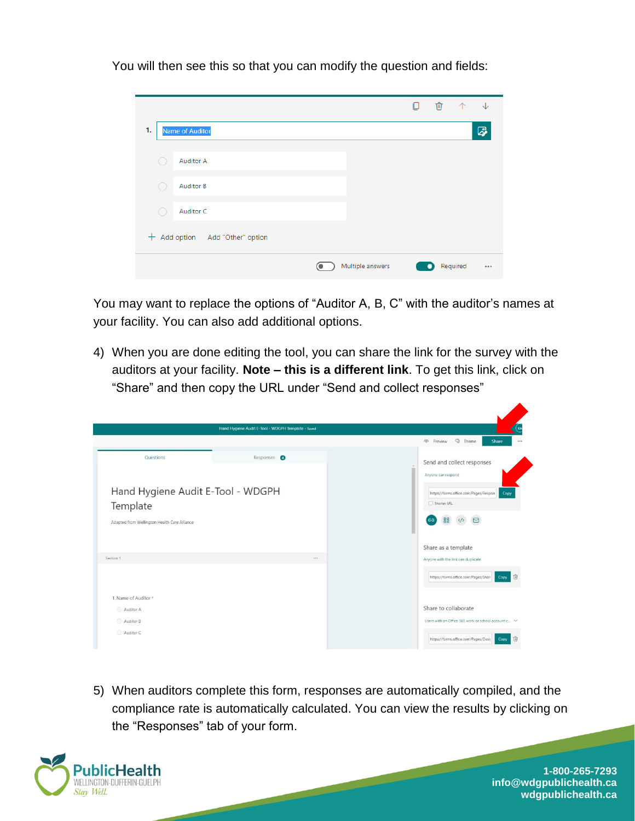You will then see this so that you can modify the question and fields:

|                                   |                  | O | <b>位</b> | 个        | $\sqrt{}$ |
|-----------------------------------|------------------|---|----------|----------|-----------|
| 1.<br><b>Name of Auditor</b>      |                  |   |          |          | 0         |
| <b>Auditor A</b>                  |                  |   |          |          |           |
| <b>Auditor B</b><br>o.            |                  |   |          |          |           |
| Auditor C<br>0                    |                  |   |          |          |           |
| $+$ Add option Add "Other" option |                  |   |          |          |           |
|                                   | Multiple answers |   | ●        | Required | $\cdots$  |

You may want to replace the options of "Auditor A, B, C" with the auditor's names at your facility. You can also add additional options.

4) When you are done editing the tool, you can share the link for the survey with the auditors at your facility. **Note – this is a different link**. To get this link, click on "Share" and then copy the URL under "Send and collect responses"

|                                              | Hand Hygiene Audit E-Tool - WDGPH Template - Saved |                                                              |
|----------------------------------------------|----------------------------------------------------|--------------------------------------------------------------|
|                                              |                                                    | <b>3</b> Theme<br>o Preview<br>Share                         |
| Questions                                    | Responses <sup>O</sup>                             | Send and collect responses<br>Anyone can respond             |
| Hand Hygiene Audit E-Tool - WDGPH            |                                                    | https://forms.office.com/Pages/Respon<br>Copy<br>Shorten URL |
| Template                                     |                                                    |                                                              |
| Adapted from Wellington Health Care Alliance |                                                    | 'ඏ<br>88<br>⊠                                                |
|                                              |                                                    | Share as a template                                          |
| Section 1                                    | $\cdots$                                           | Anyone with the link can duplicate                           |
|                                              |                                                    | https://forms.office.com/Pages/Shan<br>而<br>Copy             |
| 1. Name of Auditor *                         |                                                    |                                                              |
| Auditor A                                    |                                                    | Share to collaborate                                         |
| Auditor B                                    |                                                    | Users with an Office 365 work or school account c V          |
| Auditor C                                    |                                                    | 面<br>https://forms.office.com/Pages/Desir<br>Copy            |

5) When auditors complete this form, responses are automatically compiled, and the compliance rate is automatically calculated. You can view the results by clicking on the "Responses" tab of your form.

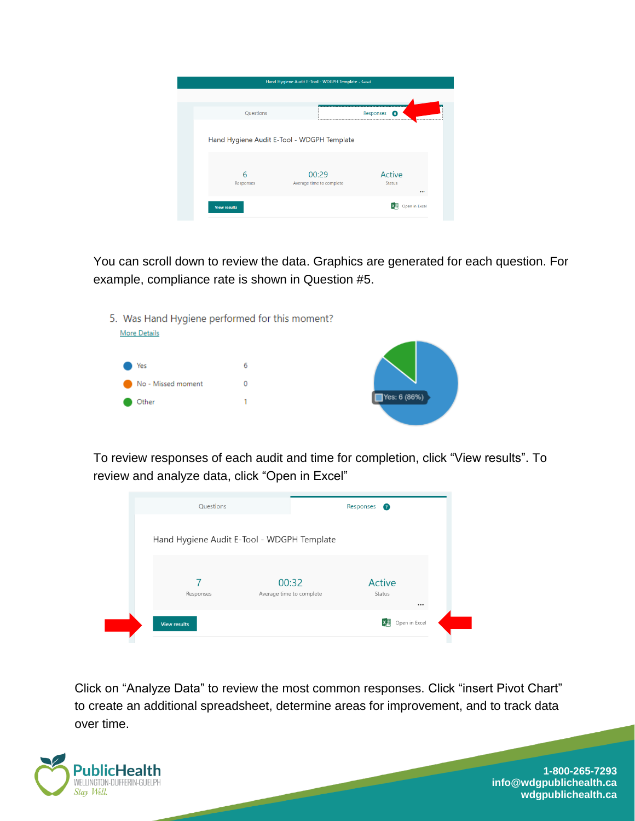|                     | Hand Hygiene Audit E-Tool - WDGPH Template - Saved |                                    |
|---------------------|----------------------------------------------------|------------------------------------|
| <b>Questions</b>    |                                                    | Responses<br>$\left( 6\right)$<br> |
|                     | Hand Hygiene Audit E-Tool - WDGPH Template         |                                    |
| 6<br>Responses      | 00:29<br>Average time to complete                  | Active<br><b>Status</b>            |
| <b>View results</b> |                                                    | <br>Open in Excel<br>Ⅳ、其           |

You can scroll down to review the data. Graphics are generated for each question. For example, compliance rate is shown in Question #5.



To review responses of each audit and time for completion, click "View results". To review and analyze data, click "Open in Excel"



Click on "Analyze Data" to review the most common responses. Click "insert Pivot Chart" to create an additional spreadsheet, determine areas for improvement, and to track data over time.

and the company of the company of